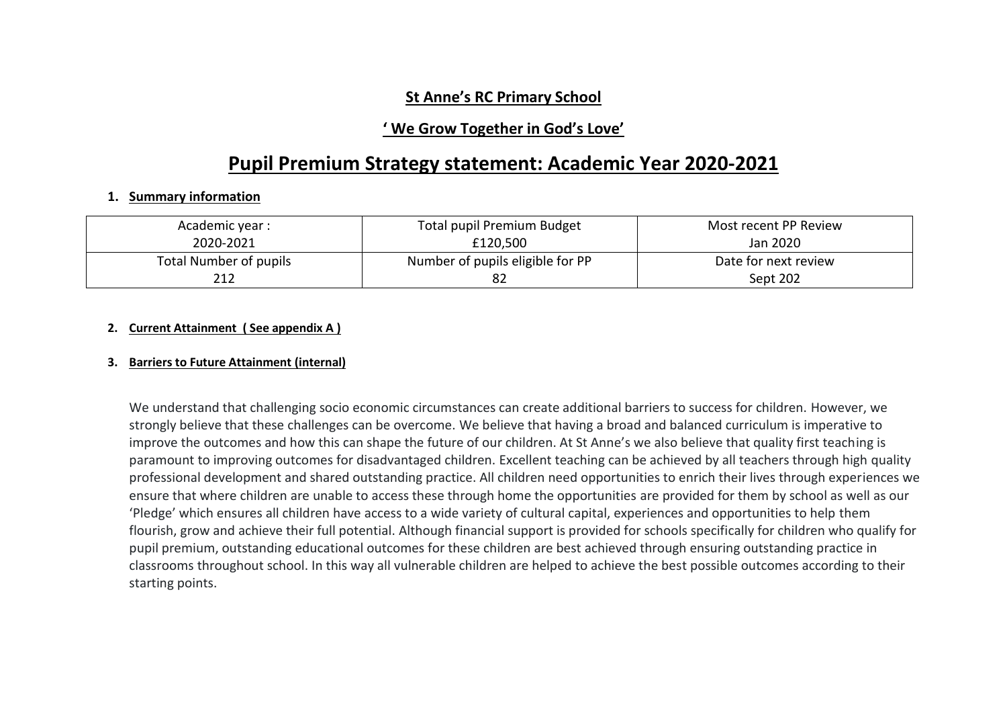### **St Anne's RC Primary School**

## **' We Grow Together in God's Love'**

## **Pupil Premium Strategy statement: Academic Year 2020-2021**

### **1. Summary information**

| Academic year :        | <b>Total pupil Premium Budget</b> | Most recent PP Review |
|------------------------|-----------------------------------|-----------------------|
| 2020-2021<br>£120,500  |                                   | Jan 2020              |
| Total Number of pupils | Number of pupils eligible for PP  | Date for next review  |
| 212                    |                                   | Sept 202              |

### **2. Current Attainment ( See appendix A )**

#### **3. Barriers to Future Attainment (internal)**

We understand that challenging socio economic circumstances can create additional barriers to success for children. However, we strongly believe that these challenges can be overcome. We believe that having a broad and balanced curriculum is imperative to improve the outcomes and how this can shape the future of our children. At St Anne's we also believe that quality first teaching is paramount to improving outcomes for disadvantaged children. Excellent teaching can be achieved by all teachers through high quality professional development and shared outstanding practice. All children need opportunities to enrich their lives through experiences we ensure that where children are unable to access these through home the opportunities are provided for them by school as well as our 'Pledge' which ensures all children have access to a wide variety of cultural capital, experiences and opportunities to help them flourish, grow and achieve their full potential. Although financial support is provided for schools specifically for children who qualify for pupil premium, outstanding educational outcomes for these children are best achieved through ensuring outstanding practice in classrooms throughout school. In this way all vulnerable children are helped to achieve the best possible outcomes according to their starting points.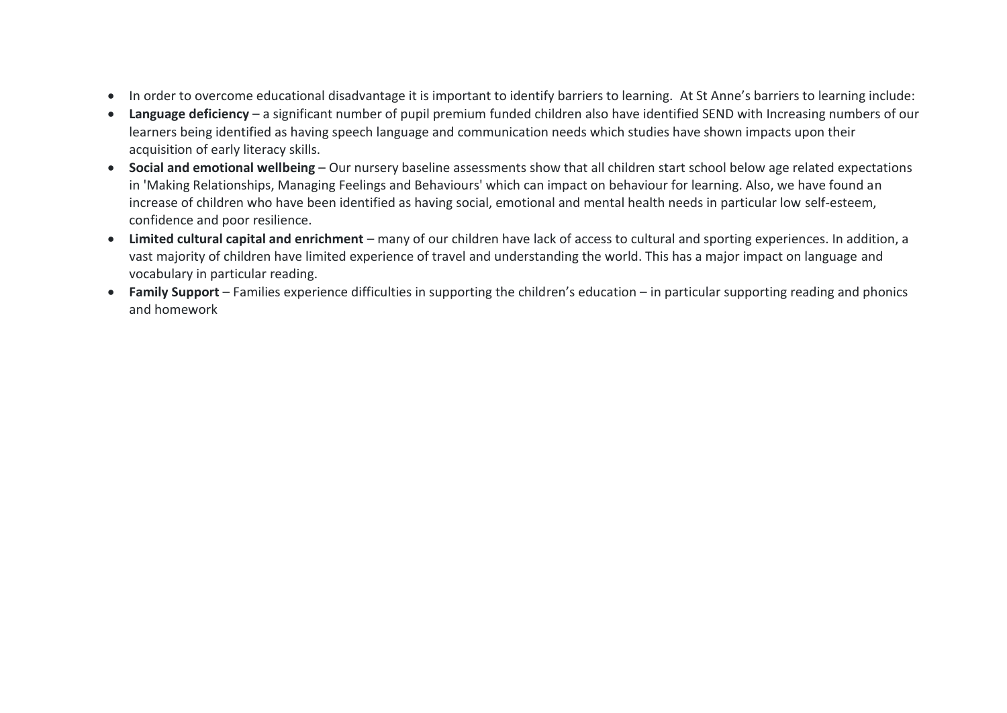- In order to overcome educational disadvantage it is important to identify barriers to learning. At St Anne's barriers to learning include:
- **Language deficiency** a significant number of pupil premium funded children also have identified SEND with Increasing numbers of our learners being identified as having speech language and communication needs which studies have shown impacts upon their acquisition of early literacy skills.
- **Social and emotional wellbeing** Our nursery baseline assessments show that all children start school below age related expectations in 'Making Relationships, Managing Feelings and Behaviours' which can impact on behaviour for learning. Also, we have found an increase of children who have been identified as having social, emotional and mental health needs in particular low self-esteem, confidence and poor resilience.
- **Limited cultural capital and enrichment** many of our children have lack of access to cultural and sporting experiences. In addition, a vast majority of children have limited experience of travel and understanding the world. This has a major impact on language and vocabulary in particular reading.
- **Family Support** Families experience difficulties in supporting the children's education in particular supporting reading and phonics and homework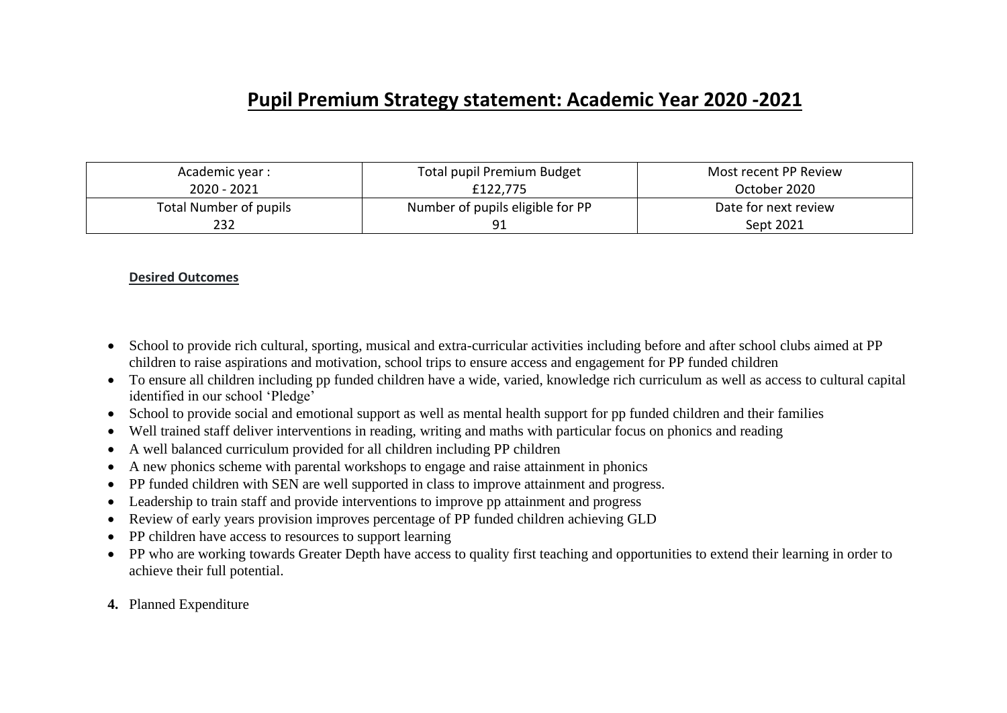## **Pupil Premium Strategy statement: Academic Year 2020 -2021**

| Academic year :        | Total pupil Premium Budget       | Most recent PP Review |  |
|------------------------|----------------------------------|-----------------------|--|
| 2020 - 2021            | £122,775                         | October 2020          |  |
| Total Number of pupils | Number of pupils eligible for PP | Date for next review  |  |
| 232                    |                                  | Sept 2021             |  |

#### **Desired Outcomes**

- School to provide rich cultural, sporting, musical and extra-curricular activities including before and after school clubs aimed at PP children to raise aspirations and motivation, school trips to ensure access and engagement for PP funded children
- To ensure all children including pp funded children have a wide, varied, knowledge rich curriculum as well as access to cultural capital identified in our school 'Pledge'
- School to provide social and emotional support as well as mental health support for pp funded children and their families
- Well trained staff deliver interventions in reading, writing and maths with particular focus on phonics and reading
- A well balanced curriculum provided for all children including PP children
- A new phonics scheme with parental workshops to engage and raise attainment in phonics
- PP funded children with SEN are well supported in class to improve attainment and progress.
- Leadership to train staff and provide interventions to improve pp attainment and progress
- Review of early years provision improves percentage of PP funded children achieving GLD
- PP children have access to resources to support learning
- PP who are working towards Greater Depth have access to quality first teaching and opportunities to extend their learning in order to achieve their full potential.
- **4.** Planned Expenditure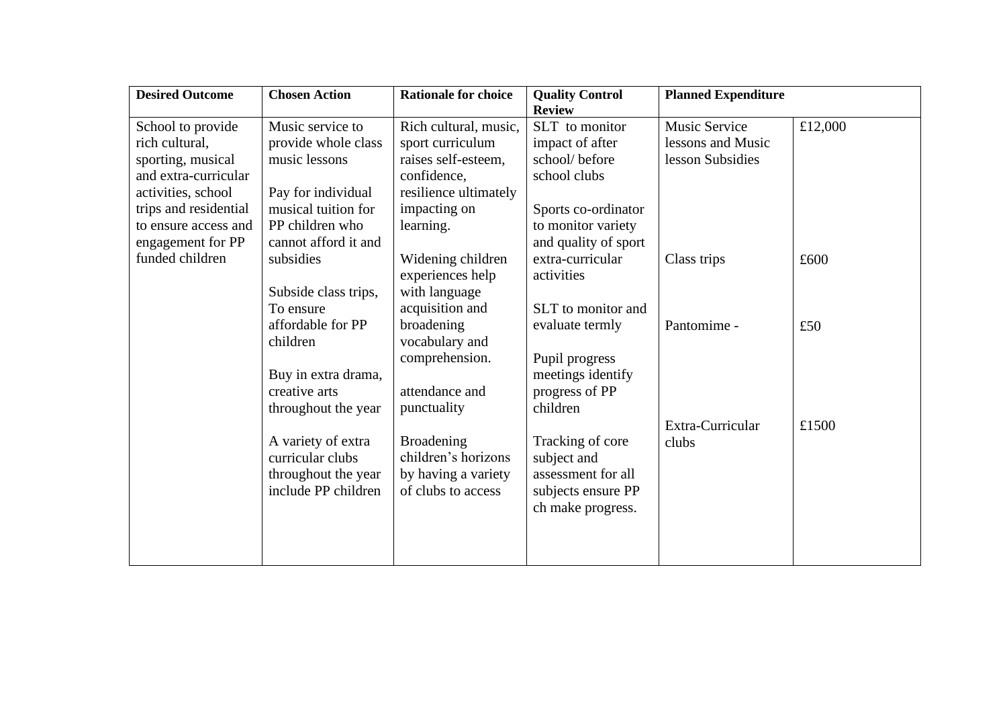| <b>Desired Outcome</b> | <b>Chosen Action</b> | <b>Rationale for choice</b> | <b>Quality Control</b> | <b>Planned Expenditure</b> |         |
|------------------------|----------------------|-----------------------------|------------------------|----------------------------|---------|
|                        |                      |                             | <b>Review</b>          |                            |         |
| School to provide      | Music service to     | Rich cultural, music,       | SLT to monitor         | <b>Music Service</b>       | £12,000 |
| rich cultural,         | provide whole class  | sport curriculum            | impact of after        | lessons and Music          |         |
| sporting, musical      | music lessons        | raises self-esteem,         | school/before          | lesson Subsidies           |         |
| and extra-curricular   |                      | confidence,                 | school clubs           |                            |         |
| activities, school     | Pay for individual   | resilience ultimately       |                        |                            |         |
| trips and residential  | musical tuition for  | impacting on                | Sports co-ordinator    |                            |         |
| to ensure access and   | PP children who      | learning.                   | to monitor variety     |                            |         |
| engagement for PP      | cannot afford it and |                             | and quality of sport   |                            |         |
| funded children        | subsidies            | Widening children           | extra-curricular       | Class trips                | £600    |
|                        |                      | experiences help            | activities             |                            |         |
|                        | Subside class trips, | with language               |                        |                            |         |
|                        | To ensure            | acquisition and             | SLT to monitor and     |                            |         |
|                        | affordable for PP    | broadening                  | evaluate termly        | Pantomime -                | £50     |
|                        | children             | vocabulary and              |                        |                            |         |
|                        |                      | comprehension.              | Pupil progress         |                            |         |
|                        | Buy in extra drama,  |                             | meetings identify      |                            |         |
|                        | creative arts        | attendance and              | progress of PP         |                            |         |
|                        | throughout the year  | punctuality                 | children               |                            |         |
|                        |                      |                             |                        | Extra-Curricular           | £1500   |
|                        | A variety of extra   | <b>Broadening</b>           | Tracking of core       | clubs                      |         |
|                        | curricular clubs     | children's horizons         | subject and            |                            |         |
|                        | throughout the year  | by having a variety         | assessment for all     |                            |         |
|                        | include PP children  | of clubs to access          | subjects ensure PP     |                            |         |
|                        |                      |                             | ch make progress.      |                            |         |
|                        |                      |                             |                        |                            |         |
|                        |                      |                             |                        |                            |         |
|                        |                      |                             |                        |                            |         |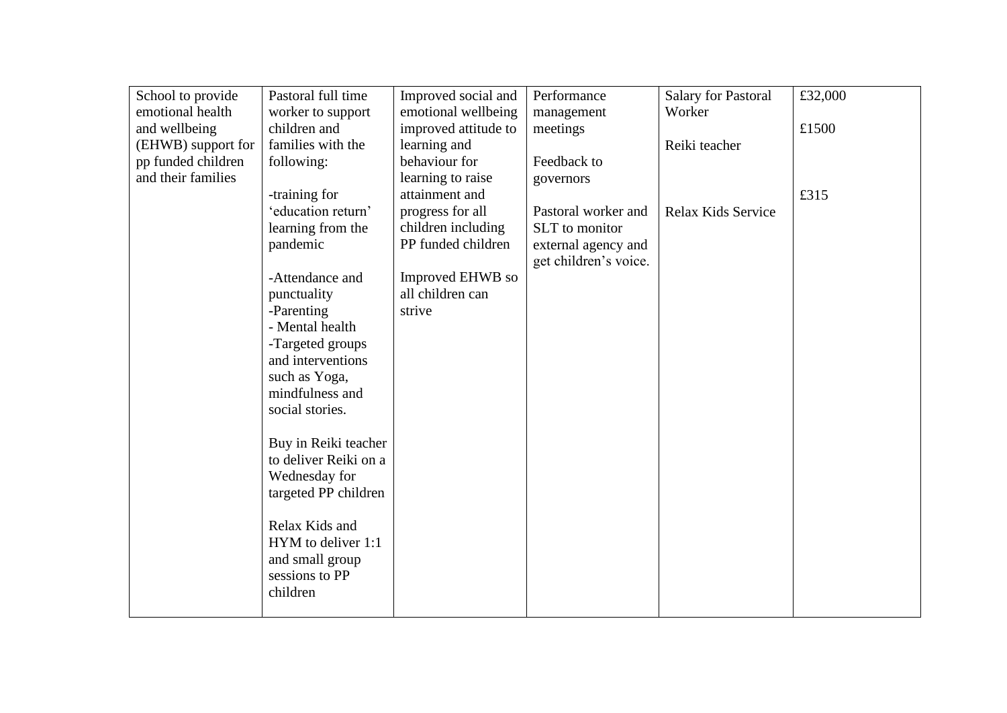| School to provide  | Pastoral full time    | Improved social and  | Performance           | <b>Salary for Pastoral</b> | £32,000 |
|--------------------|-----------------------|----------------------|-----------------------|----------------------------|---------|
| emotional health   | worker to support     | emotional wellbeing  | management            | Worker                     |         |
| and wellbeing      | children and          | improved attitude to | meetings              |                            | £1500   |
| (EHWB) support for | families with the     | learning and         |                       | Reiki teacher              |         |
| pp funded children | following:            | behaviour for        | Feedback to           |                            |         |
| and their families |                       | learning to raise    | governors             |                            |         |
|                    | -training for         | attainment and       |                       |                            | £315    |
|                    | 'education return'    | progress for all     | Pastoral worker and   | Relax Kids Service         |         |
|                    | learning from the     | children including   | SLT to monitor        |                            |         |
|                    | pandemic              | PP funded children   | external agency and   |                            |         |
|                    |                       |                      | get children's voice. |                            |         |
|                    | -Attendance and       | Improved EHWB so     |                       |                            |         |
|                    | punctuality           | all children can     |                       |                            |         |
|                    | -Parenting            | strive               |                       |                            |         |
|                    | - Mental health       |                      |                       |                            |         |
|                    | -Targeted groups      |                      |                       |                            |         |
|                    | and interventions     |                      |                       |                            |         |
|                    | such as Yoga,         |                      |                       |                            |         |
|                    | mindfulness and       |                      |                       |                            |         |
|                    | social stories.       |                      |                       |                            |         |
|                    |                       |                      |                       |                            |         |
|                    | Buy in Reiki teacher  |                      |                       |                            |         |
|                    | to deliver Reiki on a |                      |                       |                            |         |
|                    | Wednesday for         |                      |                       |                            |         |
|                    | targeted PP children  |                      |                       |                            |         |
|                    |                       |                      |                       |                            |         |
|                    | Relax Kids and        |                      |                       |                            |         |
|                    | HYM to deliver 1:1    |                      |                       |                            |         |
|                    | and small group       |                      |                       |                            |         |
|                    | sessions to PP        |                      |                       |                            |         |
|                    | children              |                      |                       |                            |         |
|                    |                       |                      |                       |                            |         |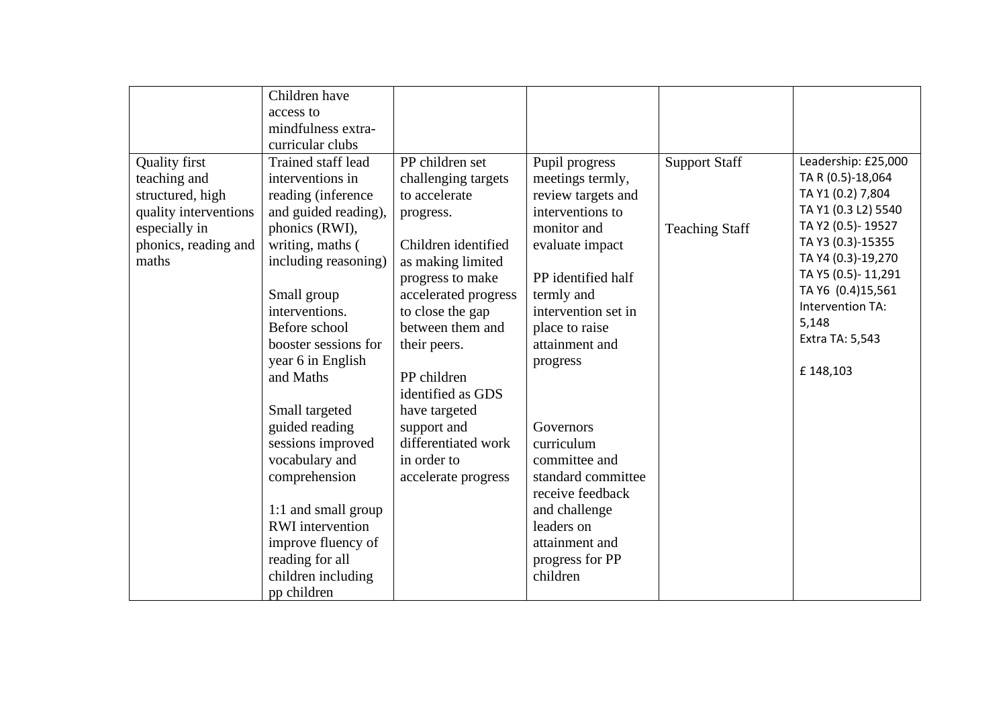|                                                                                                                                     | Children have<br>access to<br>mindfulness extra-<br>curricular clubs<br>Trained staff lead                                                                                                                                                                                                                                                                                                                                                                           | PP children set                                                                                                                                                                                                                                                                                                                    |                                                                                                                                                                                                                                                                                                                                                                                                 |                                               |                                                                                                                                                                                                                                                             |
|-------------------------------------------------------------------------------------------------------------------------------------|----------------------------------------------------------------------------------------------------------------------------------------------------------------------------------------------------------------------------------------------------------------------------------------------------------------------------------------------------------------------------------------------------------------------------------------------------------------------|------------------------------------------------------------------------------------------------------------------------------------------------------------------------------------------------------------------------------------------------------------------------------------------------------------------------------------|-------------------------------------------------------------------------------------------------------------------------------------------------------------------------------------------------------------------------------------------------------------------------------------------------------------------------------------------------------------------------------------------------|-----------------------------------------------|-------------------------------------------------------------------------------------------------------------------------------------------------------------------------------------------------------------------------------------------------------------|
| <b>Quality first</b><br>teaching and<br>structured, high<br>quality interventions<br>especially in<br>phonics, reading and<br>maths | interventions in<br>reading (inference<br>and guided reading),<br>phonics (RWI),<br>writing, maths (<br>including reasoning)<br>Small group<br>interventions.<br>Before school<br>booster sessions for<br>year 6 in English<br>and Maths<br>Small targeted<br>guided reading<br>sessions improved<br>vocabulary and<br>comprehension<br>1:1 and small group<br><b>RWI</b> intervention<br>improve fluency of<br>reading for all<br>children including<br>pp children | challenging targets<br>to accelerate<br>progress.<br>Children identified<br>as making limited<br>progress to make<br>accelerated progress<br>to close the gap<br>between them and<br>their peers.<br>PP children<br>identified as GDS<br>have targeted<br>support and<br>differentiated work<br>in order to<br>accelerate progress | Pupil progress<br>meetings termly,<br>review targets and<br>interventions to<br>monitor and<br>evaluate impact<br>PP identified half<br>termly and<br>intervention set in<br>place to raise<br>attainment and<br>progress<br>Governors<br>curriculum<br>committee and<br>standard committee<br>receive feedback<br>and challenge<br>leaders on<br>attainment and<br>progress for PP<br>children | <b>Support Staff</b><br><b>Teaching Staff</b> | Leadership: £25,000<br>TA R (0.5)-18,064<br>TA Y1 (0.2) 7,804<br>TA Y1 (0.3 L2) 5540<br>TA Y2 (0.5)-19527<br>TA Y3 (0.3)-15355<br>TA Y4 (0.3)-19,270<br>TA Y5 (0.5)-11,291<br>TA Y6 (0.4)15,561<br>Intervention TA:<br>5,148<br>Extra TA: 5,543<br>£148,103 |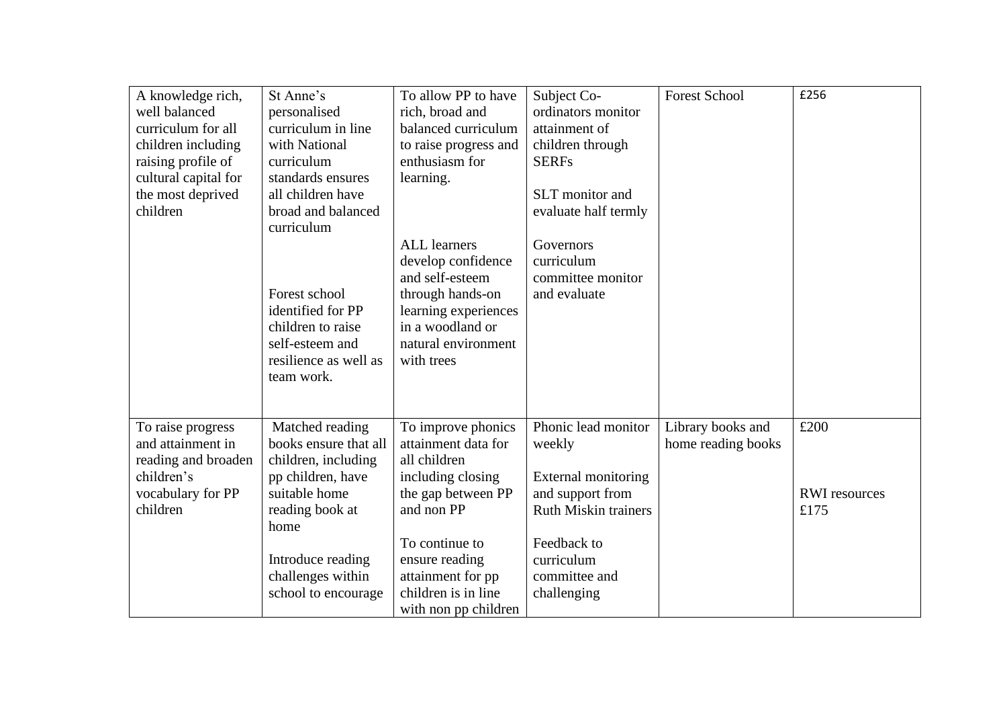| A knowledge rich,<br>well balanced<br>curriculum for all<br>children including<br>raising profile of<br>cultural capital for<br>the most deprived<br>children | St Anne's<br>personalised<br>curriculum in line<br>with National<br>curriculum<br>standards ensures<br>all children have<br>broad and balanced<br>curriculum<br>Forest school<br>identified for PP<br>children to raise<br>self-esteem and<br>resilience as well as<br>team work. | To allow PP to have<br>rich, broad and<br>balanced curriculum<br>to raise progress and<br>enthusiasm for<br>learning.<br><b>ALL</b> learners<br>develop confidence<br>and self-esteem<br>through hands-on<br>learning experiences<br>in a woodland or<br>natural environment<br>with trees | Subject Co-<br>ordinators monitor<br>attainment of<br>children through<br><b>SERFs</b><br>SLT monitor and<br>evaluate half termly<br>Governors<br>curriculum<br>committee monitor<br>and evaluate | <b>Forest School</b>                    | £256                                 |
|---------------------------------------------------------------------------------------------------------------------------------------------------------------|-----------------------------------------------------------------------------------------------------------------------------------------------------------------------------------------------------------------------------------------------------------------------------------|--------------------------------------------------------------------------------------------------------------------------------------------------------------------------------------------------------------------------------------------------------------------------------------------|---------------------------------------------------------------------------------------------------------------------------------------------------------------------------------------------------|-----------------------------------------|--------------------------------------|
| To raise progress<br>and attainment in<br>reading and broaden<br>children's<br>vocabulary for PP<br>children                                                  | Matched reading<br>books ensure that all<br>children, including<br>pp children, have<br>suitable home<br>reading book at<br>home<br>Introduce reading<br>challenges within<br>school to encourage                                                                                 | To improve phonics<br>attainment data for<br>all children<br>including closing<br>the gap between PP<br>and non PP<br>To continue to<br>ensure reading<br>attainment for pp<br>children is in line<br>with non pp children                                                                 | Phonic lead monitor<br>weekly<br><b>External monitoring</b><br>and support from<br><b>Ruth Miskin trainers</b><br>Feedback to<br>curriculum<br>committee and<br>challenging                       | Library books and<br>home reading books | £200<br><b>RWI</b> resources<br>£175 |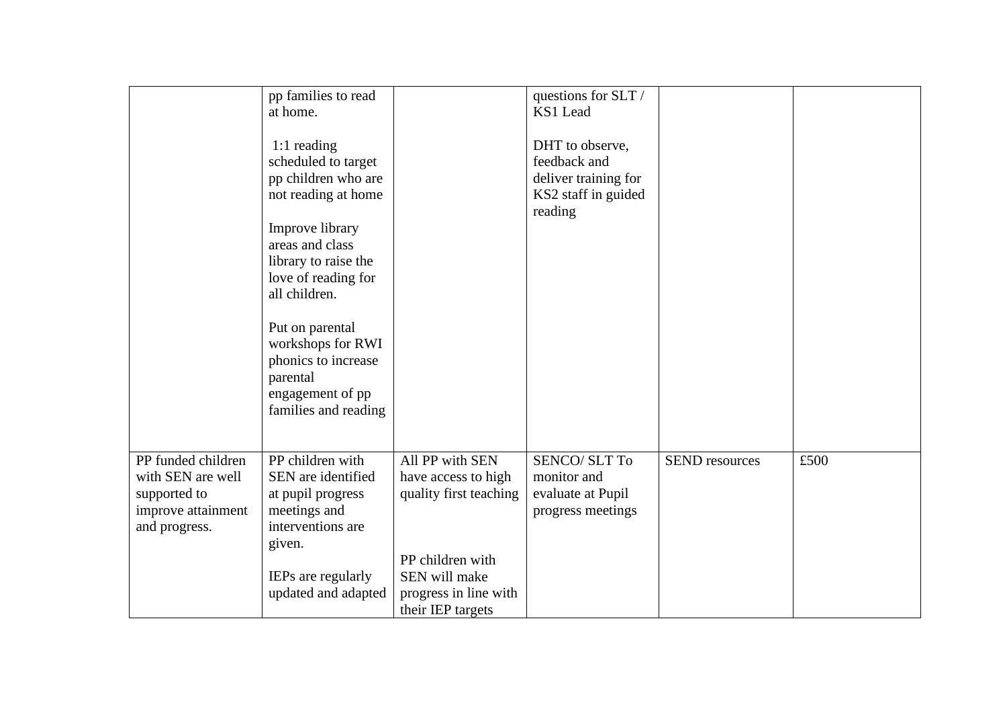|                                                                                                | pp families to read<br>at home.                                                                                                                         |                                                                                                                                                     | questions for SLT /<br>KS1 Lead                                                           |                       |      |
|------------------------------------------------------------------------------------------------|---------------------------------------------------------------------------------------------------------------------------------------------------------|-----------------------------------------------------------------------------------------------------------------------------------------------------|-------------------------------------------------------------------------------------------|-----------------------|------|
|                                                                                                | 1:1 reading<br>scheduled to target<br>pp children who are<br>not reading at home                                                                        |                                                                                                                                                     | DHT to observe,<br>feedback and<br>deliver training for<br>KS2 staff in guided<br>reading |                       |      |
|                                                                                                | Improve library<br>areas and class<br>library to raise the<br>love of reading for<br>all children.                                                      |                                                                                                                                                     |                                                                                           |                       |      |
|                                                                                                | Put on parental<br>workshops for RWI<br>phonics to increase<br>parental<br>engagement of pp<br>families and reading                                     |                                                                                                                                                     |                                                                                           |                       |      |
| PP funded children<br>with SEN are well<br>supported to<br>improve attainment<br>and progress. | PP children with<br>SEN are identified<br>at pupil progress<br>meetings and<br>interventions are<br>given.<br>IEPs are regularly<br>updated and adapted | All PP with SEN<br>have access to high<br>quality first teaching<br>PP children with<br>SEN will make<br>progress in line with<br>their IEP targets | <b>SENCO/SLT To</b><br>monitor and<br>evaluate at Pupil<br>progress meetings              | <b>SEND</b> resources | £500 |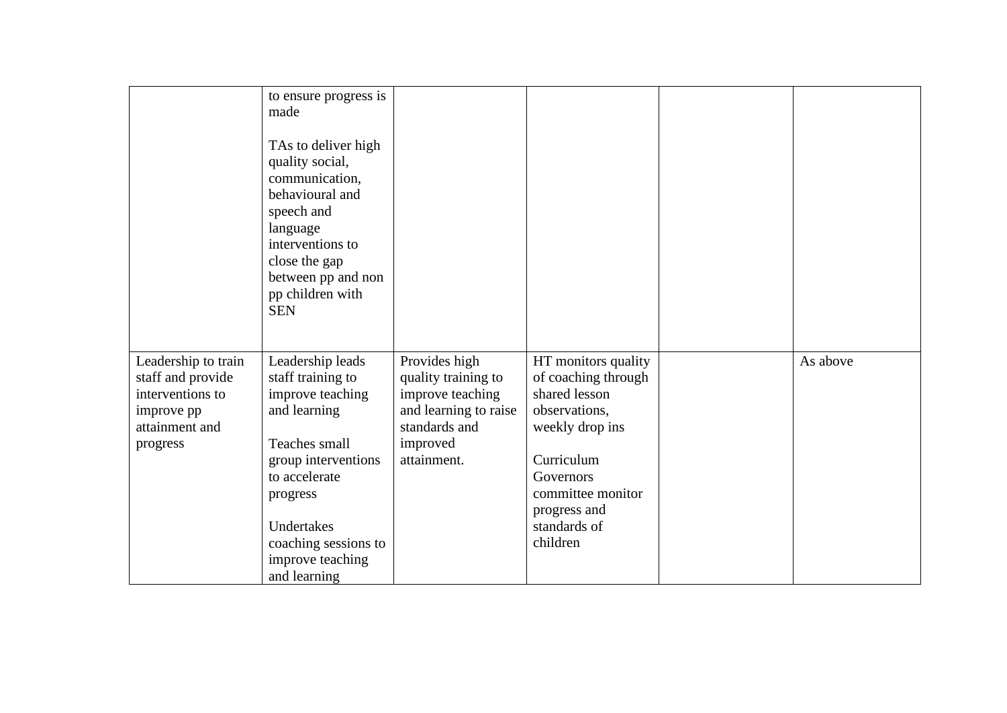|                                                                                                          | to ensure progress is<br>made<br>TAs to deliver high<br>quality social,<br>communication,<br>behavioural and<br>speech and<br>language<br>interventions to<br>close the gap<br>between pp and non<br>pp children with<br><b>SEN</b> |                                                                                                                               |                                                                                                                                                                                             |          |
|----------------------------------------------------------------------------------------------------------|-------------------------------------------------------------------------------------------------------------------------------------------------------------------------------------------------------------------------------------|-------------------------------------------------------------------------------------------------------------------------------|---------------------------------------------------------------------------------------------------------------------------------------------------------------------------------------------|----------|
| Leadership to train<br>staff and provide<br>interventions to<br>improve pp<br>attainment and<br>progress | Leadership leads<br>staff training to<br>improve teaching<br>and learning<br>Teaches small<br>group interventions<br>to accelerate<br>progress<br>Undertakes<br>coaching sessions to<br>improve teaching<br>and learning            | Provides high<br>quality training to<br>improve teaching<br>and learning to raise<br>standards and<br>improved<br>attainment. | HT monitors quality<br>of coaching through<br>shared lesson<br>observations,<br>weekly drop ins<br>Curriculum<br>Governors<br>committee monitor<br>progress and<br>standards of<br>children | As above |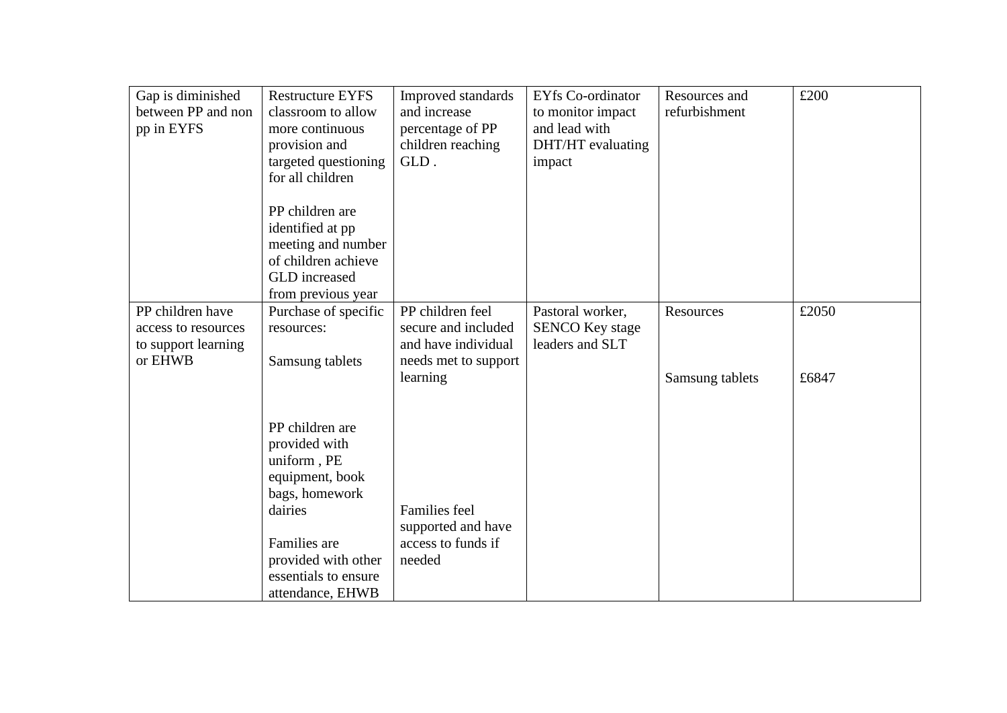| Gap is diminished<br>between PP and non | <b>Restructure EYFS</b><br>classroom to allow | Improved standards<br>and increase | <b>EYfs Co-ordinator</b><br>to monitor impact | Resources and<br>refurbishment | £200  |
|-----------------------------------------|-----------------------------------------------|------------------------------------|-----------------------------------------------|--------------------------------|-------|
| pp in EYFS                              | more continuous                               | percentage of PP                   | and lead with                                 |                                |       |
|                                         | provision and                                 | children reaching                  | DHT/HT evaluating                             |                                |       |
|                                         | targeted questioning                          | GLD.                               | impact                                        |                                |       |
|                                         | for all children                              |                                    |                                               |                                |       |
|                                         | PP children are                               |                                    |                                               |                                |       |
|                                         | identified at pp                              |                                    |                                               |                                |       |
|                                         | meeting and number                            |                                    |                                               |                                |       |
|                                         | of children achieve                           |                                    |                                               |                                |       |
|                                         | GLD increased                                 |                                    |                                               |                                |       |
|                                         | from previous year                            |                                    |                                               |                                |       |
| PP children have                        | Purchase of specific                          | PP children feel                   | Pastoral worker,                              | Resources                      | £2050 |
| access to resources                     | resources:                                    | secure and included                | <b>SENCO Key stage</b>                        |                                |       |
| to support learning                     |                                               | and have individual                | leaders and SLT                               |                                |       |
| or EHWB                                 | Samsung tablets                               | needs met to support               |                                               |                                |       |
|                                         |                                               | learning                           |                                               | Samsung tablets                | £6847 |
|                                         |                                               |                                    |                                               |                                |       |
|                                         | PP children are                               |                                    |                                               |                                |       |
|                                         | provided with                                 |                                    |                                               |                                |       |
|                                         | uniform, PE                                   |                                    |                                               |                                |       |
|                                         | equipment, book                               |                                    |                                               |                                |       |
|                                         | bags, homework                                |                                    |                                               |                                |       |
|                                         | dairies                                       | <b>Families</b> feel               |                                               |                                |       |
|                                         |                                               | supported and have                 |                                               |                                |       |
|                                         | Families are                                  | access to funds if                 |                                               |                                |       |
|                                         | provided with other                           | needed                             |                                               |                                |       |
|                                         | essentials to ensure                          |                                    |                                               |                                |       |
|                                         | attendance, EHWB                              |                                    |                                               |                                |       |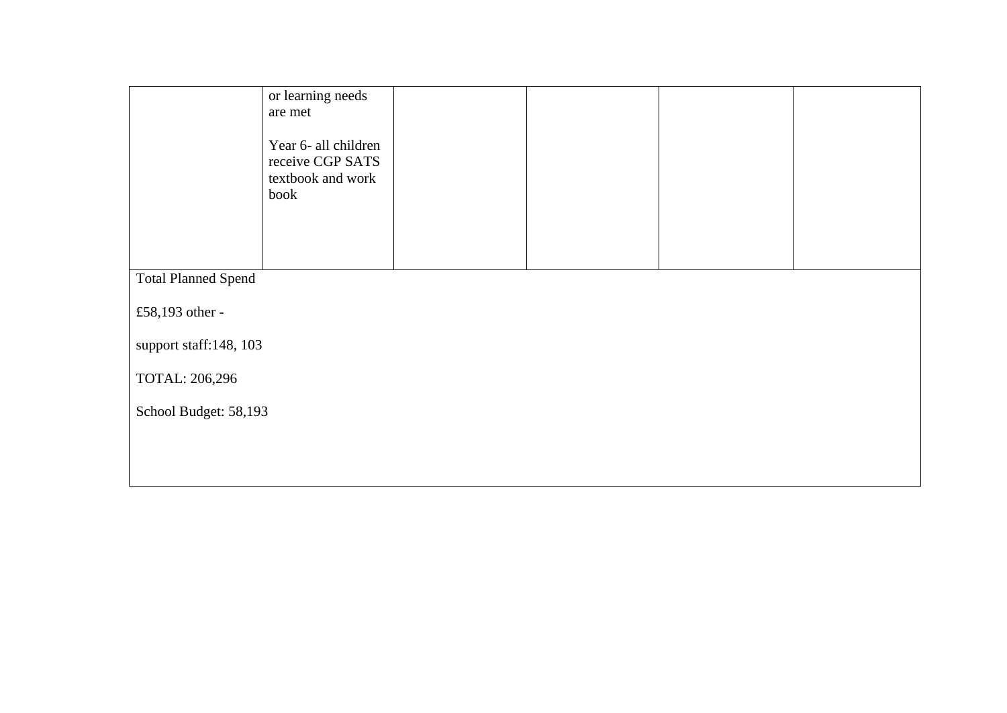|                            | or learning needs                                                     |  |  |  |  |  |
|----------------------------|-----------------------------------------------------------------------|--|--|--|--|--|
|                            | are met                                                               |  |  |  |  |  |
|                            | Year 6- all children<br>receive CGP SATS<br>textbook and work<br>book |  |  |  |  |  |
| <b>Total Planned Spend</b> |                                                                       |  |  |  |  |  |
| £58,193 other -            |                                                                       |  |  |  |  |  |
| support staff:148, 103     |                                                                       |  |  |  |  |  |
| TOTAL: 206,296             |                                                                       |  |  |  |  |  |
| School Budget: 58,193      |                                                                       |  |  |  |  |  |
|                            |                                                                       |  |  |  |  |  |
|                            |                                                                       |  |  |  |  |  |